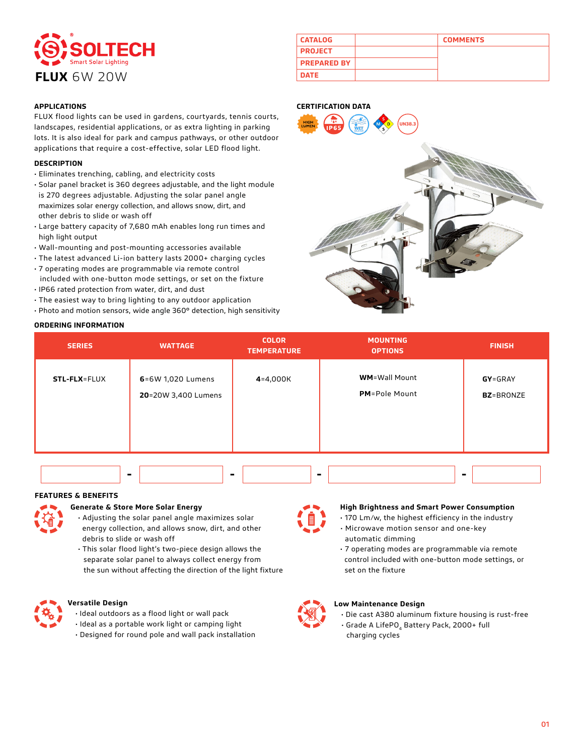# **DATE FLUX** 6W 20W

# **APPLICATIONS**

FLUX flood lights can be used in gardens, courtyards, tennis courts, landscapes, residential applications, or as extra lighting in parking lots. It is also ideal for park and campus pathways, or other outdoor applications that require a cost-effective, solar LED flood light.

## **DESCRIPTION**

- Eliminates trenching, cabling, and electricity costs
- Solar panel bracket is 360 degrees adjustable, and the light module is 270 degrees adjustable. Adjusting the solar panel angle maximizes solar energy collection, and allows snow, dirt, and other debris to slide or wash off
- Large battery capacity of 7,680 mAh enables long run times and high light output
- Wall-mounting and post-mounting accessories available
- The latest advanced Li-ion battery lasts 2000+ charging cycles
- 7 operating modes are programmable via remote control included with one-button mode settings, or set on the fixture
- IP66 rated protection from water, dirt, and dust
- The easiest way to bring lighting to any outdoor application
- Photo and motion sensors, wide angle 360° detection, high sensitivity

# **ORDERING INFORMATION**

# **CATALOG COMMENTS PROJECT PREPARED BY**

# **CERTIFICATION DATA**



| <b>SERIES</b>        | <b>WATTAGE</b>                           | <b>COLOR</b><br><b>TEMPERATURE</b> | <b>MOUNTING</b><br><b>OPTIONS</b>              | <b>FINISH</b>                |
|----------------------|------------------------------------------|------------------------------------|------------------------------------------------|------------------------------|
| <b>STL-FLX</b> =FLUX | 6=6W 1,020 Lumens<br>20=20W 3,400 Lumens | $4 = 4,000K$                       | <b>WM</b> =Wall Mount<br><b>PM</b> =Pole Mount | GY=GRAY<br><b>BZ</b> =BRONZE |
|                      | $\blacksquare$                           |                                    |                                                | -                            |

#### **FEATURES & BENEFITS**

# **Generate & Store More Solar Energy**

- Adjusting the solar panel angle maximizes solar energy collection, and allows snow, dirt, and other debris to slide or wash off
- This solar flood light's two-piece design allows the separate solar panel to always collect energy from the sun without affecting the direction of the light fixture

# **Versatile Design**

- Ideal outdoors as a flood light or wall pack
- Ideal as a portable work light or camping light
- Designed for round pole and wall pack installation

# **High Brightness and Smart Power Consumption**

- 170 Lm/w, the highest efficiency in the industry • Microwave motion sensor and one-key
- automatic dimming • 7 operating modes are programmable via remote
- control included with one-button mode settings, or set on the fixture

# **Low Maintenance Design**

- Die cast A380 aluminum fixture housing is rust-free
- · Grade A LifePO<sub>4</sub> Battery Pack, 2000+ full charging cycles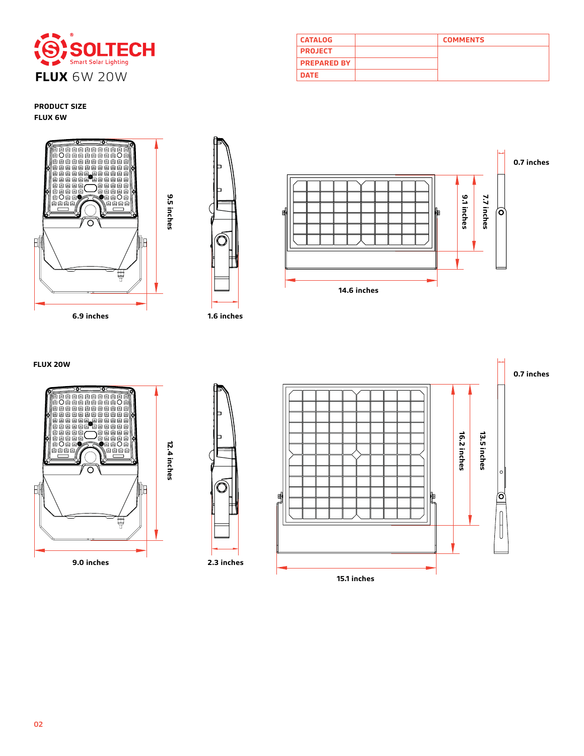

| <b>CATALOG</b>     | <b>COMMENTS</b> |
|--------------------|-----------------|
| <b>PROJECT</b>     |                 |
| <b>PREPARED BY</b> |                 |
| <b>DATE</b>        |                 |

**PRODUCT SIZE FLUX 6W**







**FLUX 20W**





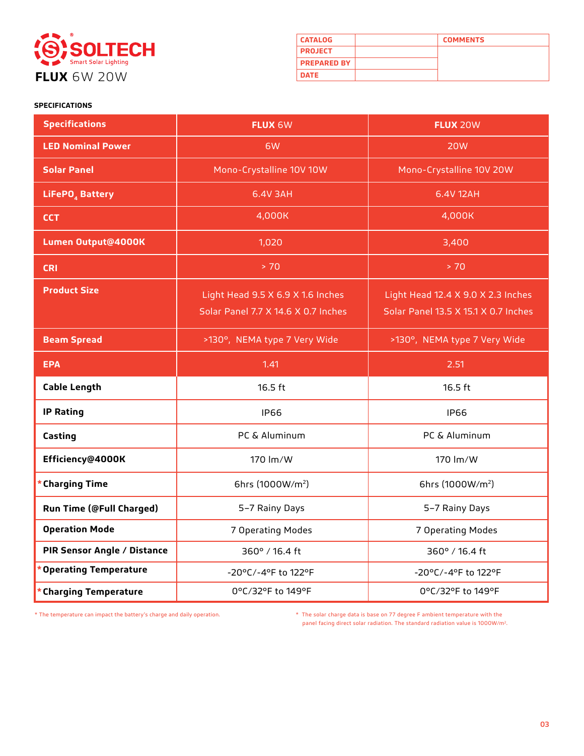

| <b>CATALOG</b>     | <b>COMMENTS</b> |
|--------------------|-----------------|
| <b>PROJECT</b>     |                 |
| <b>PREPARED BY</b> |                 |
| <b>DATE</b>        |                 |

# **SPECIFICATIONS**

| <b>Specifications</b>        | <b>FLUX 6W</b>                      | <b>FLUX 20W</b>                      |
|------------------------------|-------------------------------------|--------------------------------------|
| <b>LED Nominal Power</b>     | 6W                                  | <b>20W</b>                           |
| <b>Solar Panel</b>           | Mono-Crystalline 10V 10W            | Mono-Crystalline 10V 20W             |
| LiFePO <sub>4</sub> Battery  | 6.4V 3AH                            | 6.4V 12AH                            |
| <b>CCT</b>                   | 4,000K                              | 4,000K                               |
| Lumen Output@4000K           | 1,020                               | 3,400                                |
| <b>CRI</b>                   | > 70                                | > 70                                 |
| <b>Product Size</b>          | Light Head 9.5 X 6.9 X 1.6 Inches   | Light Head 12.4 X 9.0 X 2.3 Inches   |
|                              | Solar Panel 7.7 X 14.6 X 0.7 Inches | Solar Panel 13.5 X 15.1 X 0.7 Inches |
| <b>Beam Spread</b>           | >130°, NEMA type 7 Very Wide        | >130°, NEMA type 7 Very Wide         |
|                              |                                     |                                      |
| <b>EPA</b>                   | 1.41                                | 2.51                                 |
| <b>Cable Length</b>          | 16.5 ft                             | 16.5 ft                              |
| <b>IP Rating</b>             | <b>IP66</b>                         | <b>IP66</b>                          |
| Casting                      | PC & Aluminum                       | PC & Aluminum                        |
| Efficiency@4000K             | 170 lm/W                            | 170 lm/W                             |
| <b>Charging Time</b>         | 6hrs (1000W/m <sup>2</sup> )        | 6hrs (1000W/m <sup>2</sup> )         |
| Run Time (@Full Charged)     | 5-7 Rainy Days                      | 5-7 Rainy Days                       |
| <b>Operation Mode</b>        | 7 Operating Modes                   | 7 Operating Modes                    |
| PIR Sensor Angle / Distance  | 360° / 16.4 ft                      | 360° / 16.4 ft                       |
| <b>Operating Temperature</b> | -20°C/-4°F to 122°F                 | -20°C/-4°F to 122°F                  |

\* The temperature can impact the battery's charge and daily operation. \* The solar charge data is base on 77 degree F ambient temperature with the panel facing direct solar radiation. The standard radiation value is 1000W/m2.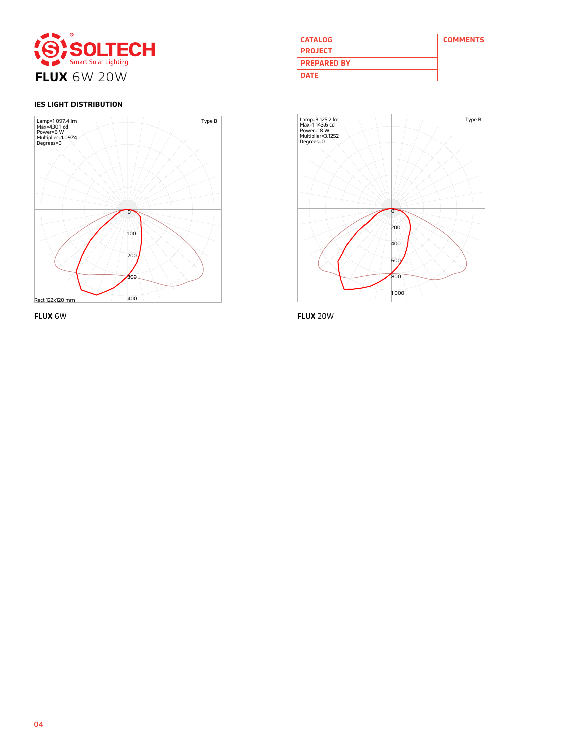

# **IES LIGHT DISTRIBUTION**









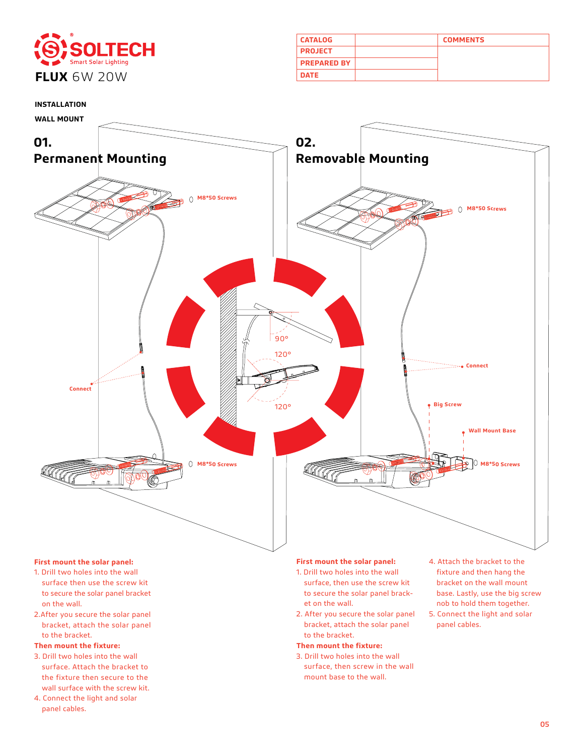

**INSTALLATION** 

| <b>CATALOG</b>     | <b>COMMENTS</b> |
|--------------------|-----------------|
| <b>PROJECT</b>     |                 |
| <b>PREPARED BY</b> |                 |
| <b>DATE</b>        |                 |

**WALL MOUNT 02. 01. Permanent Mounting Removable Mounting M8\*50 Screws**  $\circ$ **M8\*50 Screws**90° 120° **Connect Connect Big Screw** 120° **Wall Mount Base M8\*50 Screws M8\*50 Screws Maxter Address to the Maxter Screws Maxter Address to M8\*50 Screws** 

### **First mount the solar panel:**

- 1. Drill two holes into the wall surface then use the screw kit to secure the solar panel bracket on the wall.
- 2.After you secure the solar panel bracket, attach the solar panel to the bracket.

### **Then mount the fixture:**

- 3. Drill two holes into the wall surface. Attach the bracket to the fixture then secure to the wall surface with the screw kit.
- 4. Connect the light and solar panel cables.

### **First mount the solar panel:**

- 1. Drill two holes into the wall surface, then use the screw kit to secure the solar panel bracket on the wall.
- 2. After you secure the solar panel bracket, attach the solar panel to the bracket.

#### **Then mount the fixture:**

- 3. Drill two holes into the wall surface, then screw in the wall mount base to the wall.
- 4. Attach the bracket to the fixture and then hang the bracket on the wall mount base. Lastly, use the big screw nob to hold them together.
- 5. Connect the light and solar panel cables.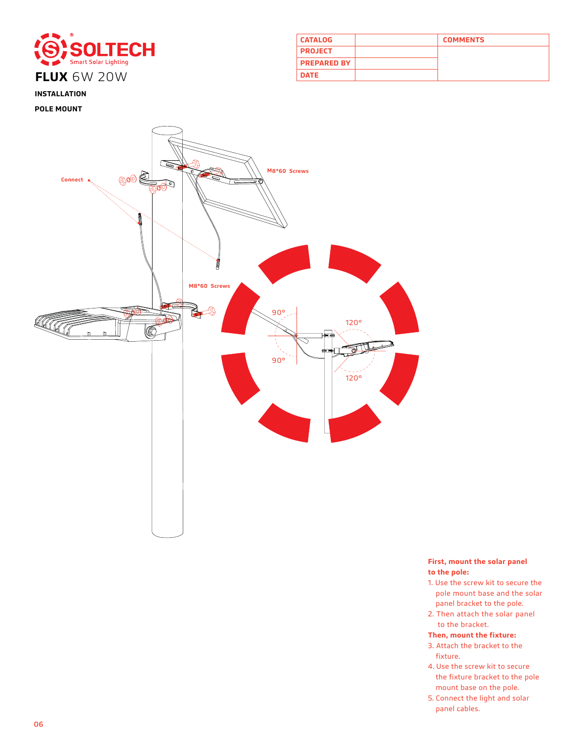

| <b>CATALOG</b>     | <b>COMMENTS</b> |
|--------------------|-----------------|
| <b>PROJECT</b>     |                 |
| <b>PREPARED BY</b> |                 |
| <b>DATE</b>        |                 |

# **INSTALLATION**

**POLE MOUNT**



# **First, mount the solar panel to the pole:**

- 1. Use the screw kit to secure the pole mount base and the solar panel bracket to the pole.
- 2. Then attach the solar panel to the bracket.

# **Then, mount the fixture:**

- 3. Attach the bracket to the fixture.
- 4. Use the screw kit to secure the fixture bracket to the pole mount base on the pole.
- 5. Connect the light and solar panel cables.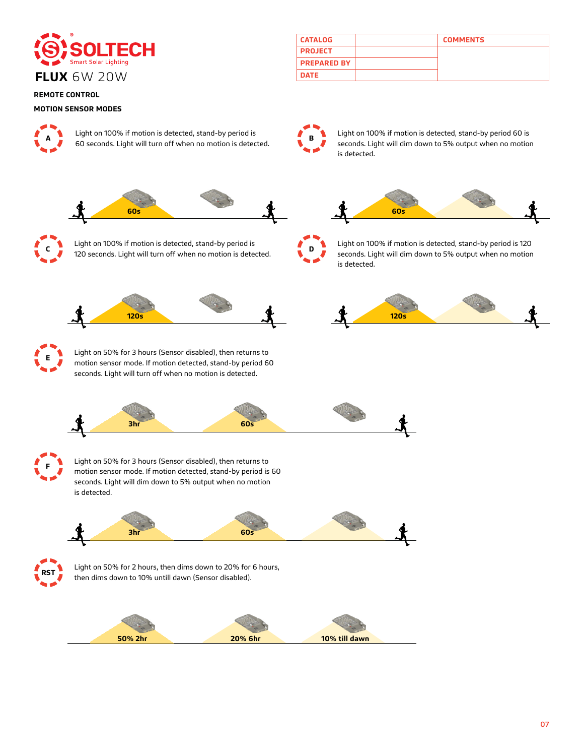

| .                  | - FN95 |
|--------------------|--------|
| <b>FLUX 6W 20W</b> |        |

| <b>REMOTE CONTROL</b> |
|-----------------------|

# **MOTION SENSOR MODES**



**<sup>A</sup>** Light on 100% if motion is detected, stand-by period is

**CATALOG COMMENTS PROJECT PREPARED BY**



Light on 100% if motion is detected, stand-by period is<br>60 seconds. Light will turn off when no motion is detected. seconds. Light will dim down to 5% output when no motion is detected.





Light on 100% if motion is detected, stand-by period is 120 seconds. Light will turn off when no motion is detected.



**D** Light on 100% if motion is detected, stand-by period is 120 seconds. Light will dim down to 5% output when no motion is detected.





**<sup>E</sup>** Light on 50% for 3 hours (Sensor disabled), then returns to motion sensor mode. If motion detected, stand-by period 60 seconds. Light will turn off when no motion is detected.







Light on 50% for 3 hours (Sensor disabled), then returns to motion sensor mode. If motion detected, stand-by period is 60 seconds. Light will dim down to 5% output when no motion is detected.





Light on 50% for 2 hours, then dims down to 20% for 6 hours, then dims down to 10% untill dawn (Sensor disabled).

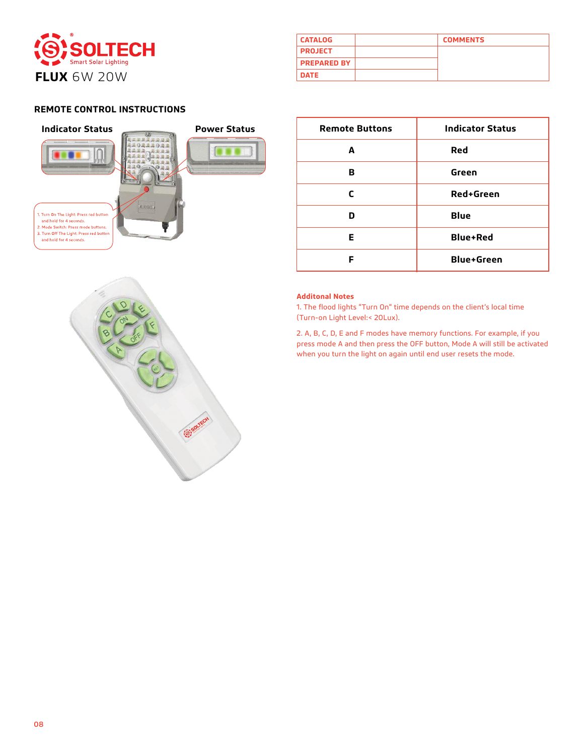

| <b>CATALOG</b>     | <b>COMMENTS</b> |
|--------------------|-----------------|
| <b>PROJECT</b>     |                 |
| <b>PREPARED BY</b> |                 |
| <b>DATE</b>        |                 |

# **REMOTE CONTROL INSTRUCTIONS**



| <b>Remote Buttons</b> | <b>Indicator Status</b> |
|-----------------------|-------------------------|
| A                     | Red                     |
| в                     | Green                   |
| r                     | <b>Red+Green</b>        |
| n                     | <b>Blue</b>             |
| Е                     | <b>Blue+Red</b>         |
|                       | <b>Blue+Green</b>       |

# **Additonal Notes**

1. The flood lights "Turn On" time depends on the client's local time (Turn-on Light Level:< 20Lux).

2. A, B, C, D, E and F modes have memory functions. For example, if you press mode A and then press the OFF button, Mode A will still be activated when you turn the light on again until end user resets the mode.